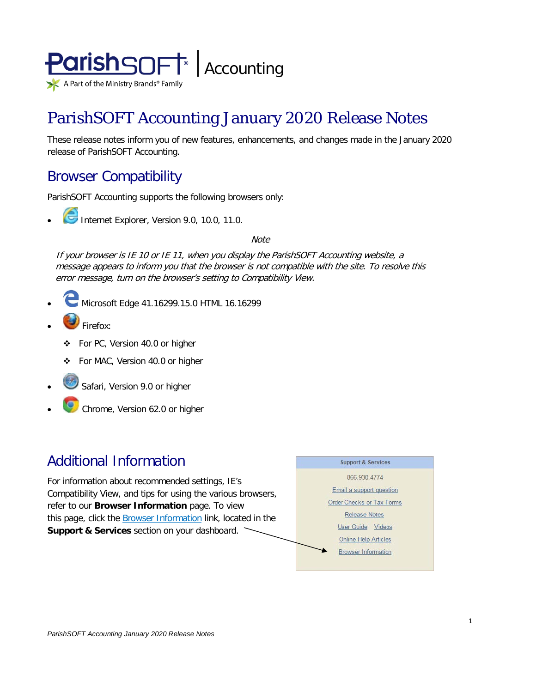

# ParishSOFT Accounting January 2020 Release Notes

These release notes inform you of new features, enhancements, and changes made in the January 2020 release of ParishSOFT Accounting.

## Browser Compatibility

ParishSOFT Accounting supports the following browsers only:

**• Internet Explorer, Version 9.0, 10.0, 11.0.** 

**Note** 

If your browser is IE 10 or IE 11, when you display the ParishSOFT Accounting website, a message appears to inform you that the browser is not compatible with the site. To resolve this error message, turn on the browser's setting to Compatibility View.

- Microsoft Edge 41.16299.15.0 HTML 16.16299
- Firefox:
	- For PC, Version 40.0 or higher
	- For MAC, Version 40.0 or higher
- Safari, Version 9.0 or higher
- Chrome, Version 62.0 or higher

### Additional Information

For information about recommended settings, IE's Compatibility View, and tips for using the various browsers, refer to our **Browser Information** page. To view this page, click the **Browser Information** link, located in the **Support & Services** section on your dashboard.

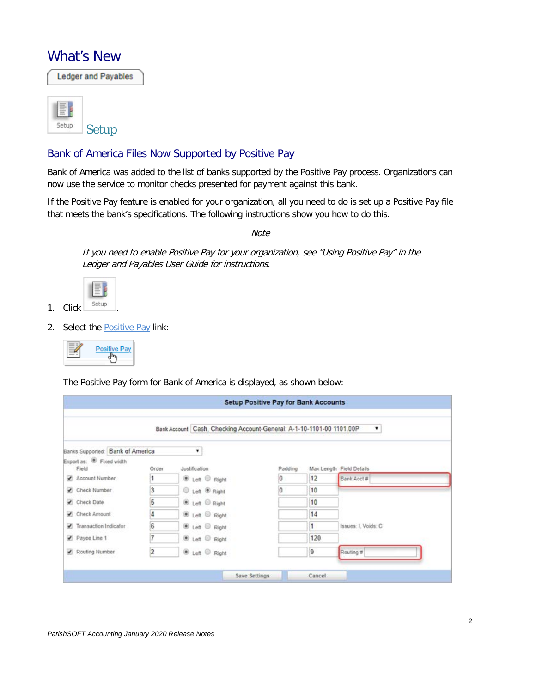### What's New

**Ledger and Payables** 



#### Bank of America Files Now Supported by Positive Pay

Bank of America was added to the list of banks supported by the Positive Pay process. Organizations can now use the service to monitor checks presented for payment against this bank.

If the Positive Pay feature is enabled for your organization, all you need to do is set up a Positive Pay file that meets the bank's specifications. The following instructions show you how to do this.

**Note** 

If you need to enable Positive Pay for your organization, see "Using Positive Pay" in the Ledger and Payables User Guide for instructions.



2. Select the **Positive Pay link:** 

|--|--|

The Positive Pay form for Bank of America is displayed, as shown below:

|                                                |       |                                      | <b>Setup Positive Pay for Bank Accounts</b>                            |     |                          |
|------------------------------------------------|-------|--------------------------------------|------------------------------------------------------------------------|-----|--------------------------|
|                                                |       |                                      | Bank Account   Cash, Checking Account-General: A-1-10-1101-00 1101.00P |     | ۰                        |
| Banks Supported: Bank of America               |       |                                      |                                                                        |     |                          |
| Export as: <sup>(8)</sup> Fixed width<br>Field | Order | Justification                        | Padding                                                                |     | Max Length Field Details |
| Account Number                                 |       | E Left C Right                       | 0                                                                      | 12  | Bank Acct #              |
| Check Number                                   | 3     | <b>C</b> Left <sup>®</sup> Right     | $\overline{0}$                                                         | 10  |                          |
| Check Date                                     | 5     | ® Left © Right                       |                                                                        | 10  |                          |
| Check Amount                                   | 4     | <sup>●</sup> Left <sup>◎</sup> Right |                                                                        | 14  |                          |
| Transaction Indicator                          | i6    | ® Left © Right                       |                                                                        | 1.  | Issues: I. Voids: C      |
| Payee Line 1                                   | 7     | ® Left © Right                       |                                                                        | 120 |                          |
| Routing Number                                 | 2     | E Left C Right                       |                                                                        | 9   | Routing #                |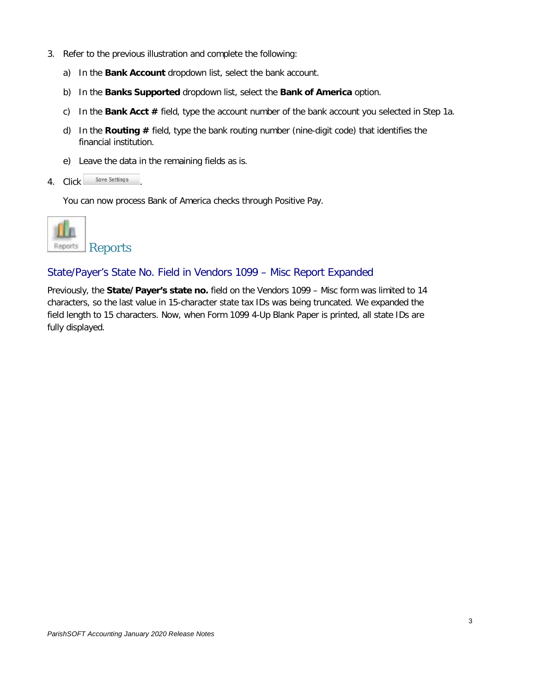- 3. Refer to the previous illustration and complete the following:
	- a) In the **Bank Account** dropdown list, select the bank account.
	- b) In the **Banks Supported** dropdown list, select the **Bank of America** option.
	- c) In the **Bank Acct #** field, type the account number of the bank account you selected in Step 1a.
	- d) In the **Routing #** field, type the bank routing number (nine-digit code) that identifies the financial institution.
	- e) Leave the data in the remaining fields as is.
- 4. Click Save Settings

You can now process Bank of America checks through Positive Pay.



#### State/Payer's State No. Field in Vendors 1099 – Misc Report Expanded

Previously, the **State/Payer's state no.** field on the Vendors 1099 – Misc form was limited to 14 characters, so the last value in 15-character state tax IDs was being truncated. We expanded the field length to 15 characters. Now, when Form 1099 4-Up Blank Paper is printed, all state IDs are fully displayed.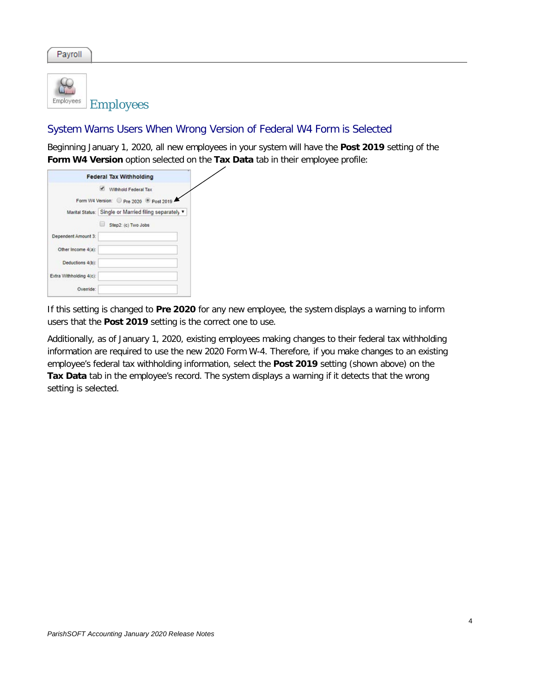Payroll



#### System Warns Users When Wrong Version of Federal W4 Form is Selected

Beginning January 1, 2020, all new employees in your system will have the **Post 2019** setting of the **Form W4 Version** option selected on the **Tax Data** tab in their employee profile:

|                         | <b>Federal Tax Withholding</b>                        |
|-------------------------|-------------------------------------------------------|
|                         | Withhold Federal Tax                                  |
|                         | Form W4 Version: Pre 2020 Post 2019                   |
|                         | Marital Status: Single or Married filing separately v |
|                         | u<br>Step2: (c) Two Jobs                              |
| Dependent Amount 3:     |                                                       |
| Other Income 4(a):      |                                                       |
| Deductions 4(b):        |                                                       |
| Extra Withholding 4(c): |                                                       |
| Override:               |                                                       |

If this setting is changed to **Pre 2020** for any new employee, the system displays a warning to inform users that the **Post 2019** setting is the correct one to use.

Additionally, as of January 1, 2020, existing employees making changes to their federal tax withholding information are required to use the new 2020 Form W-4. Therefore, if you make changes to an existing employee's federal tax withholding information, select the **Post 2019** setting (shown above) on the **Tax Data** tab in the employee's record. The system displays a warning if it detects that the wrong setting is selected.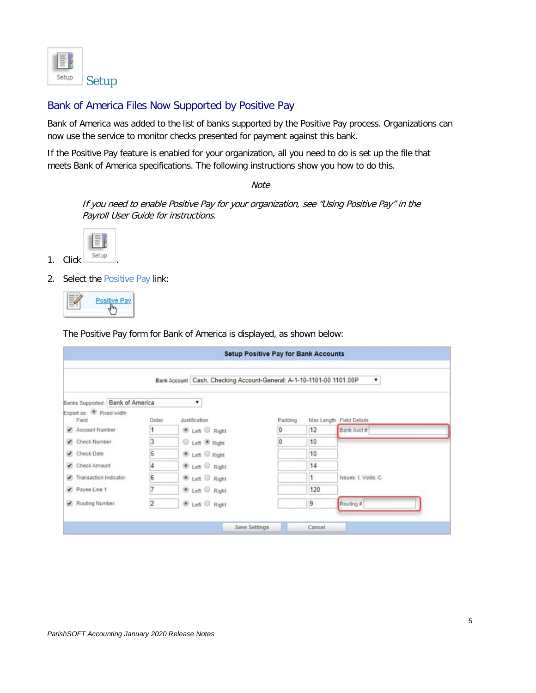

#### Bank of America Files Now Supported by Positive Pay

Bank of America was added to the list of banks supported by the Positive Pay process. Organizations can now use the service to monitor checks presented for payment against this bank.

If the Positive Pay feature is enabled for your organization, all you need to do is set up the file that meets Bank of America specifications. The following instructions show you how to do this.

**Note** 

If you need to enable Positive Pay for your organization, see "Using Positive Pay" in the Payroll User Guide for instructions.



- 1. Click **Setup**
- 2. Select the **Positive Pay link:**



The Positive Pay form for Bank of America is displayed, as shown below:

|                                              |                |               |                           | Bank Account   Cash, Checking Account-General: A-1-10-1101-00 1101.00P<br>۰ |              |                          |  |  |  |
|----------------------------------------------|----------------|---------------|---------------------------|-----------------------------------------------------------------------------|--------------|--------------------------|--|--|--|
| Banks Supported: Bank of America             |                | ۳.            |                           |                                                                             |              |                          |  |  |  |
| Export as: <sup>D</sup> Fixed width<br>Field | Order          | Justification |                           | Padding                                                                     |              | Max Length Field Details |  |  |  |
| Account Number                               |                |               | E Left C Right            | 0                                                                           | 12           | Bank Acct #              |  |  |  |
| Check Number                                 | 3              |               | C Left <sup>®</sup> Right | $\overline{0}$                                                              | 10           |                          |  |  |  |
| Check Date                                   | 5              |               | ® Left © Right            |                                                                             | 10           |                          |  |  |  |
| Check Amount                                 | 4              |               | ® Left © Right            |                                                                             | 14           |                          |  |  |  |
| Transaction Indicator                        | G              |               | ® Left © Right            |                                                                             | $\mathbf{1}$ | Issues: I. Voids: C      |  |  |  |
| Payee Line 1                                 | 7              |               | ® Left © Right            |                                                                             | 120          |                          |  |  |  |
| Routing Number                               | $\overline{2}$ |               | E Left C Right            |                                                                             | 9            | Routing #                |  |  |  |